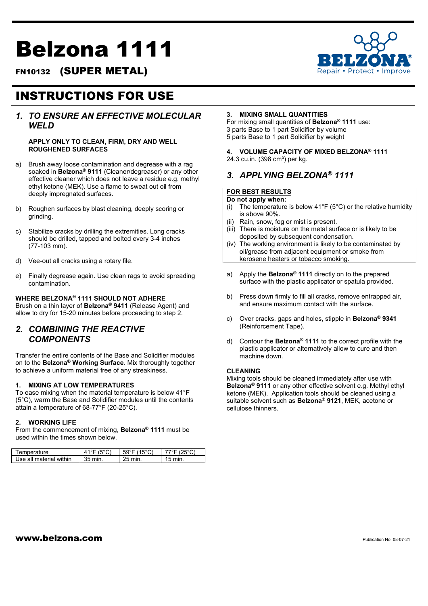# Belzona 1111

FN10132 (SUPER METAL)

# INSTRUCTIONS FOR USE

## *1. TO ENSURE AN EFFECTIVE MOLECULAR WELD*

#### **APPLY ONLY TO CLEAN, FIRM, DRY AND WELL ROUGHENED SURFACES**

- a) Brush away loose contamination and degrease with a rag soaked in **Belzona® 9111** (Cleaner/degreaser) or any other effective cleaner which does not leave a residue e.g. methyl ethyl ketone (MEK). Use a flame to sweat out oil from deeply impregnated surfaces.
- b) Roughen surfaces by blast cleaning, deeply scoring or grinding.
- c) Stabilize cracks by drilling the extremities. Long cracks should be drilled, tapped and bolted every 3-4 inches (77-103 mm).
- d) Vee-out all cracks using a rotary file.
- e) Finally degrease again. Use clean rags to avoid spreading contamination.

## **WHERE BELZONA® 1111 SHOULD NOT ADHERE**

Brush on a thin layer of **Belzona® 9411** (Release Agent) and allow to dry for 15-20 minutes before proceeding to step 2.

## *2. COMBINING THE REACTIVE COMPONENTS*

Transfer the entire contents of the Base and Solidifier modules on to the **Belzona® Working Surface**. Mix thoroughly together to achieve a uniform material free of any streakiness.

#### **1. MIXING AT LOW TEMPERATURES**

To ease mixing when the material temperature is below 41°F (5°C), warm the Base and Solidifier modules until the contents attain a temperature of 68-77°F (20-25°C).

#### **2. WORKING LIFE**

From the commencement of mixing, **Belzona® 1111** must be used within the times shown below.

| I emperature            |         | 59   |      |
|-------------------------|---------|------|------|
| Use all material within | 35 min. | min. | min. |

#### **3. MIXING SMALL QUANTITIES**

For mixing small quantities of **Belzona® 1111** use: 3 parts Base to 1 part Solidifier by volume 5 parts Base to 1 part Solidifier by weight

#### **4. VOLUME CAPACITY OF MIXED BELZONA® 1111** 24.3 cu.in. (398 cm<sup>3</sup>) per kg.

## *3. APPLYING BELZONA® 1111*

### **FOR BEST RESULTS**

- **Do not apply when:**
- (i) The temperature is below  $41^{\circ}F(5^{\circ}C)$  or the relative humidity is above 90%.
- Rain, snow, fog or mist is present.
- (iii) There is moisture on the metal surface or is likely to be deposited by subsequent condensation.
- (iv) The working environment is likely to be contaminated by oil/grease from adjacent equipment or smoke from kerosene heaters or tobacco smoking.
- a) Apply the **Belzona® 1111** directly on to the prepared surface with the plastic applicator or spatula provided.
- b) Press down firmly to fill all cracks, remove entrapped air, and ensure maximum contact with the surface.
- c) Over cracks, gaps and holes, stipple in **Belzona® 9341**  (Reinforcement Tape).
- d) Contour the **Belzona® 1111** to the correct profile with the plastic applicator or alternatively allow to cure and then machine down.

#### **CLEANING**

Mixing tools should be cleaned immediately after use with **Belzona® 9111** or any other effective solvent e.g. Methyl ethyl ketone (MEK). Application tools should be cleaned using a suitable solvent such as **Belzona® 9121**, MEK, acetone or cellulose thinners.